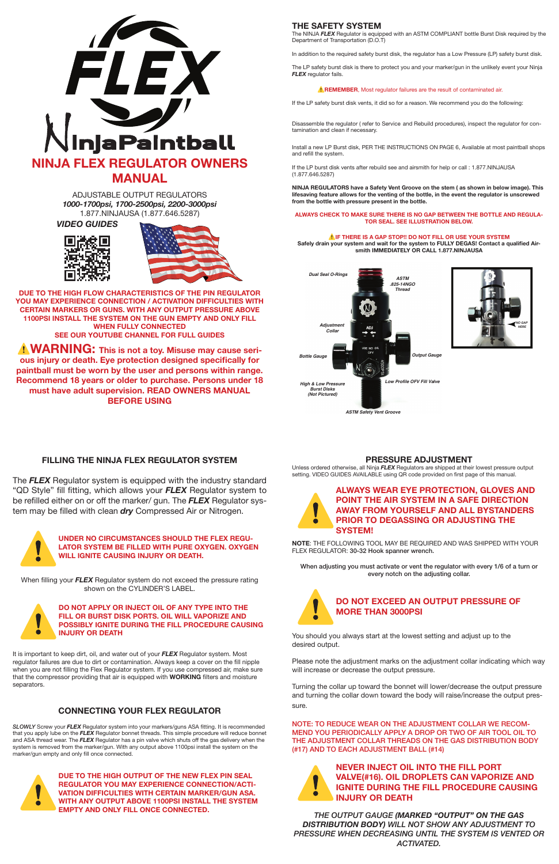

ADJUSTABLE OUTPUT REGULATORS *1000-1700psi, 1700-2500psi, 2200-3000psi* 1.877.NINJAUSA (1.877.646.5287)

**DUE TO THE HIGH FLOW CHARACTERISTICS OF THE PIN REGULATOR YOU MAY EXPERIENCE CONNECTION / ACTIVATION DIFFICULTIES WITH CERTAIN MARKERS OR GUNS. WITH ANY OUTPUT PRESSURE ABOVE 1100PSI INSTALL THE SYSTEM ON THE GUN EMPTY AND ONLY FILL WHEN FULLY CONNECTED SEE OUR YOUTUBE CHANNEL FOR FULL GUIDES**

**A WARNING:** This is not a toy. Misuse may cause seri**ous injury or death. Eye protection designed specifically for paintball must be worn by the user and persons within range. Recommend 18 years or older to purchase. Persons under 18 must have adult supervision. READ OWNERS MANUAL BEFORE USING**

*VIDEO GUIDES*





# **THE SAFETY SYSTEM**

The NINJA *FLEX* Regulator is equipped with an ASTM COMPLIANT bottle Burst Disk required by the Department of Transportation (D.O.T)

In addition to the required safety burst disk, the regulator has a Low Pressure (LP) safety burst disk.

The LP safety burst disk is there to protect you and your marker/gun in the unlikely event your Ninja *FLEX* regulator fails.

#### **A REMEMBER**, Most regulator failures are the result of contaminated air.

If the LP safety burst disk vents, it did so for a reason. We recommend you do the following:

Disassemble the regulator ( refer to Service and Rebuild procedures), inspect the regulator for contamination and clean if necessary.

# UNDER NO CIRCUMSTANCES SHOULD THE FLEX REGULATOR SYSTEM BE FILLED WITH PURE OXYGEN. OXYGE WILL IGNITE CAUSING INJURY OR DEATH. **LATOR SYSTEM BE FILLED WITH PURE OXYGEN. OXYGEN WILL IGNITE CAUSING INJURY OR DEATH.**

Install a new LP Burst disk, PER THE INSTRUCTIONS ON PAGE 6, Available at most paintball shops and refill the system.

DO NOT APPLY OR INJECT OIL OF ANY TYPE INTO THE FILL OR BURST DISK PORTS. OIL WILL VAPORIZE AND POSSIBLY IGNITE DURING THE FILL PROCEDURE CAUS<br>INJURY OR DEATH **FILL OR BURST DISK PORTS. OIL WILL VAPORIZE AND POSSIBLY IGNITE DURING THE FILL PROCEDURE CAUSING INJURY OR DEATH**

If the LP burst disk vents after rebuild see and airsmith for help or call : 1.877.NINJAUSA (1.877.646.5287)

**NINJA REGULATORS have a Safety Vent Groove on the stem ( as shown in below image). This lifesaving feature allows for the venting of the bottle, in the event the regulator is unscrewed from the bottle with pressure present in the bottle.**

#### **ALWAYS CHECK TO MAKE SURE THERE IS NO GAP BETWEEN THE BOTTLE AND REGULA-TOR SEAL. SEE ILLUSTRATION BELOW.**

DUE TO THE HIGH OUTPUT OF THE NEW FLEX PIN SEAL<br>REGULATOR YOU MAY EXPERIENCE CONNECTION/ACTI-<br>VATION DIFFICULTIES WITH CERTAIN MARKER/GUN ASA<br>WITH ANY OUTPUT ABOVE 1100PSI INSTALL THE SYSTEM<br>FMPTY AND ONLY FILL ONCE CONNEC **REGULATOR YOU MAY EXPERIENCE CONNECTION/ACTI-VATION DIFFICULTIES WITH CERTAIN MARKER/GUN ASA. WITH ANY OUTPUT ABOVE 1100PSI INSTALL THE SYSTEM EMPTY AND ONLY FILL ONCE CONNECTED.**

⚠**IF THERE IS A GAP STOP!! DO NOT FILL OR USE YOUR SYSTEM Safely drain your system and wait for the system to FULLY DEGAS! Contact a qualified Airsmith IMMEDIATELY OR CALL 1.877.NINJAUSA**

# ALWAYS WEAR EYE PROTECTION, GLOVES AND POINT THE AIR SYSTEM IN A SAFE DIRECTION<br>AWAY FROM YOURSELF AND ALL BYSTANDERS<br>PRIOR TO DEGASSING OR ADJUSTING THE **POINT THE AIR SYSTEM IN A SAFE DIRECTION AWAY FROM YOURSELF AND ALL BYSTANDERS PRIOR TO DEGASSING OR ADJUSTING THE SYSTEM!**





# **FILLING THE NINJA FLEX REGULATOR SYSTEM**

The *FLEX* Regulator system is equipped with the industry standard "QD Style" fill fitting, which allows your *FLEX* Regulator system to be refilled either on or off the marker/ gun. The *FLEX* Regulator system may be filled with clean *dry* Compressed Air or Nitrogen.



NEVER INJECT OIL INTO THE FILL PORT<br>VALVE(#16). OIL DROPLETS CAN VAPORIZE<br>IGNITE DURING THE FILL PROCEDURE C<br>INJURY OR DEATH **VALVE(#16). OIL DROPLETS CAN VAPORIZE AND IGNITE DURING THE FILL PROCEDURE CAUSING INJURY OR DEATH**

When filling your *FLEX* Regulator system do not exceed the pressure rating shown on the CYLINDER'S LABEL.



It is important to keep dirt, oil, and water out of your *FLEX* Regulator system. Most regulator failures are due to dirt or contamination. Always keep a cover on the fill nipple when you are not filling the Flex Regulator system. If you use compressed air, make sure that the compressor providing that air is equipped with **WORKING** filters and moisture separators.

# **CONNECTING YOUR FLEX REGULATOR**

*SLOWLY* Screw your *FLEX* Regulator system into your markers/guns ASA fitting. It is recommended that you apply lube on the *FLEX* Regulator bonnet threads. This simple procedure will reduce bonnet and ASA thread wear. The *FLEX* Regulator has a pin valve which shuts off the gas delivery when the system is removed from the marker/gun. With any output above 1100psi install the system on the marker/gun empty and only fill once connected.



# **PRESSURE ADJUSTMENT**

Unless ordered otherwise, all Ninja *FLEX* Regulators are shipped at their lowest pressure output setting. VIDEO GUIDES AVAILABLE using QR code provided on first page of this manual.

**NOTE**: THE FOLLOWING TOOL MAY BE REQUIRED AND WAS SHIPPED WITH YOUR FLEX REGULATOR: 30-32 Hook spanner wrench.

When adjusting you must activate or vent the regulator with every 1/6 of a turn or every notch on the adjusting collar.



You should you always start at the lowest setting and adjust up to the desired output.

Please note the adjustment marks on the adjustment collar indicating which way will increase or decrease the output pressure.

Turning the collar up toward the bonnet will lower/decrease the output pressure and turning the collar down toward the body will raise/increase the output pressure.

### NOTE: TO REDUCE WEAR ON THE ADJUSTMENT COLLAR WE RECOM-MEND YOU PERIODICALLY APPLY A DROP OR TWO OF AIR TOOL OIL TO THE ADJUSTMENT COLLAR THREADS ON THE GAS DISTRIBUTION BODY (#17) AND TO EACH ADJUSTMENT BALL (#14)



*THE OUTPUT GAUGE (MARKED "OUTPUT" ON THE GAS DISTRIBUTION BODY) WILL NOT SHOW ANY ADJUSTMENT TO PRESSURE WHEN DECREASING UNTIL THE SYSTEM IS VENTED OR ACTIVATED.*